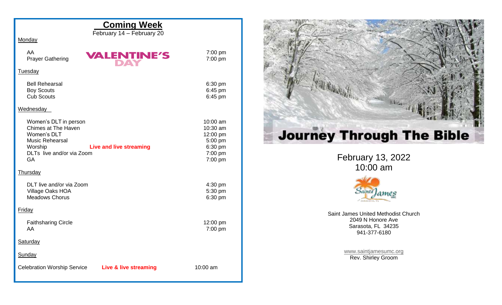| <b>Coming Week</b><br>February 14 - February 20                                                                                                                |                                                                              |  |
|----------------------------------------------------------------------------------------------------------------------------------------------------------------|------------------------------------------------------------------------------|--|
| Monday                                                                                                                                                         |                                                                              |  |
| AA<br><b>VALENTINE'S</b><br><b>Prayer Gathering</b>                                                                                                            | $7:00$ pm<br>7:00 pm                                                         |  |
| Tuesday                                                                                                                                                        |                                                                              |  |
| <b>Bell Rehearsal</b><br><b>Boy Scouts</b><br><b>Cub Scouts</b>                                                                                                | 6:30 pm<br>6:45 pm<br>6:45 pm                                                |  |
| Wednesday                                                                                                                                                      |                                                                              |  |
| Women's DLT in person<br>Chimes at The Haven<br>Women's DLT<br>Music Rehearsal<br>Worship<br><b>Live and live streaming</b><br>DLTs live and/or via Zoom<br>GA | 10:00 am<br>10:30 am<br>12:00 pm<br>5:00 pm<br>6:30 pm<br>7:00 pm<br>7:00 pm |  |
| Thursday                                                                                                                                                       |                                                                              |  |
| DLT live and/or via Zoom<br>Village Oaks HOA<br><b>Meadows Chorus</b>                                                                                          | 4:30 pm<br>5:30 pm<br>6:30 pm                                                |  |
| Friday                                                                                                                                                         |                                                                              |  |
| <b>Faithsharing Circle</b><br>AA                                                                                                                               | 12:00 pm<br>7:00 pm                                                          |  |
| Saturday                                                                                                                                                       |                                                                              |  |
| Sunday                                                                                                                                                         |                                                                              |  |
| <b>Celebration Worship Service</b><br>Live & live streaming                                                                                                    | $10:00$ am                                                                   |  |



February 13, 2022 10:00 am



Saint James United Methodist Church 2049 N Honore Ave Sarasota, FL 34235 941-377-6180

> [www.saintjamesumc.org](http://www.saintjamesumc.org/) Rev. Shirley Groom